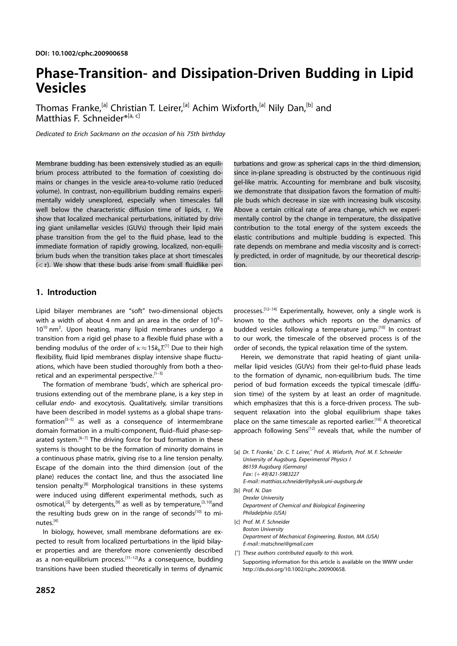# Phase-Transition- and Dissipation-Driven Budding in Lipid Vesicles

Thomas Franke,<sup>[a]</sup> Christian T. Leirer,<sup>[a]</sup> Achim Wixforth,<sup>[a]</sup> Nily Dan,<sup>[b]</sup> and Matthias F. Schneider\*<sup>[a, c]</sup>

Dedicated to Erich Sackmann on the occasion of his 75th birthday

Membrane budding has been extensively studied as an equilibrium process attributed to the formation of coexisting domains or changes in the vesicle area-to-volume ratio (reduced volume). In contrast, non-equilibrium budding remains experimentally widely unexplored, especially when timescales fall well below the characteristic diffusion time of lipids,  $\tau$ . We show that localized mechanical perturbations, initiated by driving giant unilamellar vesicles (GUVs) through their lipid main phase transition from the gel to the fluid phase, lead to the immediate formation of rapidly growing, localized, non-equilibrium buds when the transition takes place at short timescales  $(*τ*)$ . We show that these buds arise from small fluidlike perturbations and grow as spherical caps in the third dimension, since in-plane spreading is obstructed by the continuous rigid gel-like matrix. Accounting for membrane and bulk viscosity, we demonstrate that dissipation favors the formation of multiple buds which decrease in size with increasing bulk viscosity. Above a certain critical rate of area change, which we experimentally control by the change in temperature, the dissipative contribution to the total energy of the system exceeds the elastic contributions and multiple budding is expected. This rate depends on membrane and media viscosity and is correctly predicted, in order of magnitude, by our theoretical description.

# 1. Introduction

Lipid bilayer membranes are "soft" two-dimensional objects with a width of about 4 nm and an area in the order of 10<sup>6</sup>-10<sup>10</sup> nm<sup>2</sup>. Upon heating, many lipid membranes undergo a transition from a rigid gel phase to a flexible fluid phase with a bending modulus of the order of  $\kappa\!\approx\!15 k_{\text{b}} T^{\text{[1]}}$  Due to their high flexibility, fluid lipid membranes display intensive shape fluctuations, which have been studied thoroughly from both a theoretical and an experimental perspective.<sup>[1-3]</sup>

The formation of membrane 'buds', which are spherical protrusions extending out of the membrane plane, is a key step in cellular endo- and exocytosis. Qualitatively, similar transitions have been described in model systems as a global shape transformation<sup>[3-5]</sup> as well as a consequence of intermembrane domain formation in a multi-component, fluid–fluid phase-separated system.<sup>[6-7]</sup> The driving force for bud formation in these systems is thought to be the formation of minority domains in a continuous phase matrix, giving rise to a line tension penalty. Escape of the domain into the third dimension (out of the plane) reduces the contact line, and thus the associated line tension penalty.<sup>[8]</sup> Morphological transitions in these systems were induced using different experimental methods, such as osmotical,<sup>[3]</sup> by detergents,<sup>[9]</sup> as well as by temperature,<sup>[3,10]</sup>and the resulting buds grew on in the range of seconds<sup>[10]</sup> to minutes. [4]

In biology, however, small membrane deformations are expected to result from localized perturbations in the lipid bilayer properties and are therefore more conveniently described as a non-equilibrium process.<sup>[11-12]</sup>As a consequence, budding transitions have been studied theoretically in terms of dynamic

processes.<sup>[12-14]</sup> Experimentally, however, only a single work is known to the authors which reports on the dynamics of budded vesicles following a temperature jump.<sup>[10]</sup> In contrast to our work, the timescale of the observed process is of the order of seconds, the typical relaxation time of the system.

Herein, we demonstrate that rapid heating of giant unilamellar lipid vesicles (GUVs) from their gel-to-fluid phase leads to the formation of dynamic, non-equilibrium buds. The time period of bud formation exceeds the typical timescale (diffusion time) of the system by at least an order of magnitude. which emphasizes that this is a force-driven process. The subsequent relaxation into the global equilibrium shape takes place on the same timescale as reported earlier.<sup>[10]</sup> A theoretical approach following Sens<[12] reveals that, while the number of

- [a] Dr. T. Franke,<sup>+</sup> Dr. C. T. Leirer,<sup>+</sup> Prof. A. Wixforth, Prof. M. F. Schneider University of Augsburg, Experimental Physics I 86159 Augsburg (Germany) Fax: (+49) 821-5983227 E-mail: matthias.schneider@physik.uni-augsburg.de [b] Prof. N. Dan
- Drexler University Department of Chemical and Biological Engineering Philadelphia (USA)
- [c] Prof. M. F. Schneider Boston University Department of Mechanical Engineering, Boston, MA (USA) E-mail: matschnei@gmail.com
- [<sup>+</sup>] These authors contributed equally to this work. Supporting information for this article is available on the WWW under http://dx.doi.org/10.1002/cphc.200900658.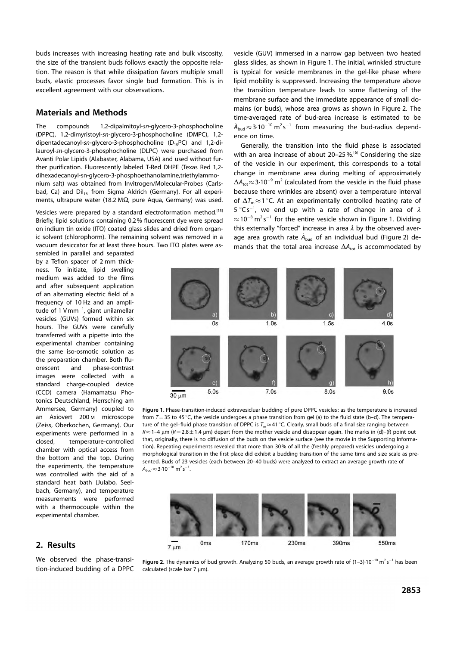buds increases with increasing heating rate and bulk viscosity, the size of the transient buds follows exactly the opposite relation. The reason is that while dissipation favors multiple small buds, elastic processes favor single bud formation. This is in excellent agreement with our observations.

# Materials and Methods

The compounds 1,2-dipalmitoyl-sn-glycero-3-phosphocholine (DPPC), 1,2-dimyristoyl-sn-glycero-3-phosphocholine (DMPC), 1,2 dipentadecanoyl-sn-glycero-3-phosphocholine  $(D_{15}PC)$  and 1,2-dilauroyl-sn-glycero-3-phosphocholine (DLPC) were purchased from Avanti Polar Lipids (Alabaster, Alabama, USA) and used without further purification. Fluorescently labeled T-Red DHPE (Texas Red 1,2 dihexadecanoyl-sn-glycero-3-phosphoethanolamine,triethylammonium salt) was obtained from Invitrogen/Molecular-Probes (Carlsbad, Ca) and Dil<sub>18</sub> from Sigma Aldrich (Germany). For all experiments, ultrapure water (18.2 M $\Omega$ , pure Aqua, Germany) was used.

Vesicles were prepared by a standard electroformation method.<sup>[15]</sup> Briefly, lipid solutions containing 0.2% fluorescent dye were spread on indium tin oxide (ITO) coated glass slides and dried from organic solvent (chlorophorm). The remaining solvent was removed in a vacuum desiccator for at least three hours. Two ITO plates were as-

sembled in parallel and separated by a Teflon spacer of 2 mm thickness. To initiate, lipid swelling medium was added to the films and after subsequent application of an alternating electric field of a frequency of 10 Hz and an amplitude of 1  $V$ mm<sup>-1</sup>, giant unilamellar vesicles (GUVs) formed within six hours. The GUVs were carefully transferred with a pipette into the experimental chamber containing the same iso-osmotic solution as the preparation chamber. Both fluorescent and phase-contrast images were collected with a standard charge-coupled device (CCD) camera (Hamamatsu Photonics Deutschland, Herrsching am Ammersee, Germany) coupled to an Axiovert 200m microscope (Zeiss, Oberkochen, Germany). Our experiments were performed in a closed, temperature-controlled chamber with optical access from the bottom and the top. During the experiments, the temperature was controlled with the aid of a standard heat bath (Julabo, Seelbach, Germany), and temperature measurements were performed with a thermocouple within the experimental chamber.

vesicle (GUV) immersed in a narrow gap between two heated glass slides, as shown in Figure 1. The initial, wrinkled structure is typical for vesicle membranes in the gel-like phase where lipid mobility is suppressed. Increasing the temperature above the transition temperature leads to some flattening of the membrane surface and the immediate appearance of small domains (or buds), whose area grows as shown in Figure 2. The time-averaged rate of bud-area increase is estimated to be  $\dot{A}_{\text{bud}}$   $\approx$  3.10<sup>-10</sup> m<sup>2</sup>s<sup>-1</sup> from measuring the bud-radius dependence on time.

Generally, the transition into the fluid phase is associated with an area increase of about 20-25%.<sup>[6]</sup> Considering the size of the vesicle in our experiment, this corresponds to a total change in membrane area during melting of approximately  $\Delta A_{\text{tot}}$   $\approx$  3.10<sup>-9</sup> m<sup>2</sup> (calculated from the vesicle in the fluid phase because there wrinkles are absent) over a temperature interval of  $\Delta T_{\rm m}$   $\approx$  1 °C. At an experimentally controlled heating rate of  $5^{\circ}$ Cs<sup>-1</sup>, we end up with a rate of change in area of  $\lambda$  $\approx$  10<sup>-8</sup> m<sup>2</sup>s<sup>-1</sup> for the entire vesicle shown in Figure 1. Dividing this externally "forced" increase in area  $\lambda$  by the observed average area growth rate  $\dot{A}_{\text{bud}}$  of an individual bud (Figure 2) demands that the total area increase  $\Delta A_{\rm tot}$  is accommodated by



Figure 1. Phase-transition-induced extravesicluar budding of pure DPPC vesicles: as the temperature is increased from  $T=35$  to 45 °C, the vesicle undergoes a phase transition from gel (a) to the fluid state (b–d). The temperature of the gel–fluid phase transition of DPPC is  $I_{\rm m}$   $\approx$  41 °C. Clearly, small buds of a final size ranging between  $R \approx 1$ –4 µm ( $R = 2.8 \pm 1.4$  µm) depart from the mother vesicle and disappear again. The marks in (d)–(f) point out that, originally, there is no diffusion of the buds on the vesicle surface (see the movie in the Supporting Information). Repeating experiments revealed that more than 30% of all the (freshly prepared) vesicles undergoing a morphological transition in the first place did exhibit a budding transition of the same time and size scale as presented. Buds of 23 vesicles (each between 20–40 buds) were analyzed to extract an average growth rate of  $\dot{A}_{bud}$   $\approx$  3·10<sup>-10</sup> m<sup>2</sup> s<sup>-1</sup>.



2. Results

We observed the phase-transition-induced budding of a DPPC

Figure 2. The dynamics of bud growth. Analyzing 50 buds, an average growth rate of  $(1-3)\cdot10^{-10}$  m<sup>2</sup>s<sup>-1</sup> has been calculated (scale bar 7 um).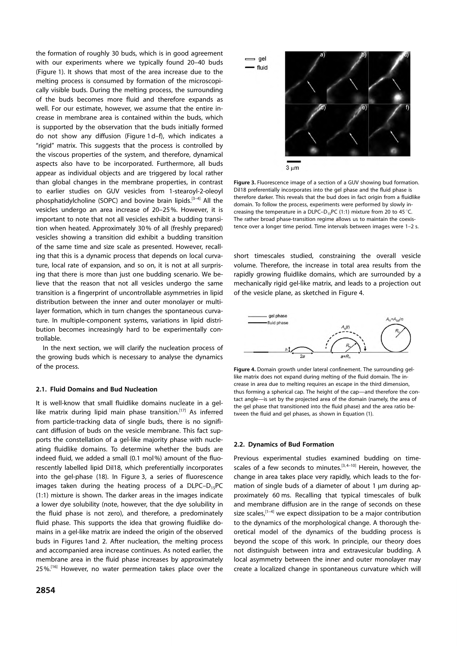the formation of roughly 30 buds, which is in good agreement with our experiments where we typically found 20–40 buds (Figure 1). It shows that most of the area increase due to the melting process is consumed by formation of the microscopically visible buds. During the melting process, the surrounding of the buds becomes more fluid and therefore expands as well. For our estimate, however, we assume that the entire increase in membrane area is contained within the buds, which is supported by the observation that the buds initially formed do not show any diffusion (Figure 1d–f), which indicates a "rigid" matrix. This suggests that the process is controlled by the viscous properties of the system, and therefore, dynamical aspects also have to be incorporated. Furthermore, all buds appear as individual objects and are triggered by local rather than global changes in the membrane properties, in contrast to earlier studies on GUV vesicles from 1-stearoyl-2-oleoyl phosphatidylcholine (SOPC) and bovine brain lipids.<sup>[3-4]</sup> All the vesicles undergo an area increase of 20–25%. However, it is important to note that not all vesicles exhibit a budding transition when heated. Approximately 30% of all (freshly prepared) vesicles showing a transition did exhibit a budding transition of the same time and size scale as presented. However, recalling that this is a dynamic process that depends on local curvature, local rate of expansion, and so on, it is not at all surprising that there is more than just one budding scenario. We believe that the reason that not all vesicles undergo the same transition is a fingerprint of uncontrollable asymmetries in lipid distribution between the inner and outer monolayer or multilayer formation, which in turn changes the spontaneous curvature. In multiple-component systems, variations in lipid distribution becomes increasingly hard to be experimentally controllable.

In the next section, we will clarify the nucleation process of the growing buds which is necessary to analyse the dynamics of the process.

### 2.1. Fluid Domains and Bud Nucleation

It is well-know that small fluidlike domains nucleate in a gellike matrix during lipid main phase transition.<sup>[17]</sup> As inferred from particle-tracking data of single buds, there is no significant diffusion of buds on the vesicle membrane. This fact supports the constellation of a gel-like majority phase with nucleating fluidlike domains. To determine whether the buds are indeed fluid, we added a small (0.1 mol%) amount of the fluorescently labelled lipid DiI18, which preferentially incorporates into the gel-phase (18). In Figure 3, a series of fluorescence images taken during the heating process of a  $DLPC-D_{15}PC$ (1:1) mixture is shown. The darker areas in the images indicate a lower dye solubility (note, however, that the dye solubility in the fluid phase is not zero), and therefore, a predominately fluid phase. This supports the idea that growing fluidlike domains in a gel-like matrix are indeed the origin of the observed buds in Figures 1and 2. After nucleation, the melting process and accompanied area increase continues. As noted earlier, the membrane area in the fluid phase increases by approximately 25%.<sup>[16]</sup> However, no water permeation takes place over the



Figure 3. Fluorescence image of a section of a GUV showing bud formation. DiI18 preferentially incorporates into the gel phase and the fluid phase is therefore darker. This reveals that the bud does in fact origin from a fluidlike domain. To follow the process, experiments were performed by slowly increasing the temperature in a DLPC–D<sub>15</sub>PC (1:1) mixture from 20 to 45 °C. The rather broad phase-transition regime allows us to maintain the coexistence over a longer time period. Time intervals between images were 1–2 s.

short timescales studied, constraining the overall vesicle volume. Therefore, the increase in total area results from the rapidly growing fluidlike domains, which are surrounded by a mechanically rigid gel-like matrix, and leads to a projection out of the vesicle plane, as sketched in Figure 4.



Figure 4. Domain growth under lateral confinement. The surrounding gellike matrix does not expand during melting of the fluid domain. The increase in area due to melting requires an escape in the third dimension, thus forming a spherical cap. The height of the cap—and therefore the contact angle—is set by the projected area of the domain (namely, the area of the gel phase that transitioned into the fluid phase) and the area ratio between the fluid and gel phases, as shown in Equation (1).

#### 2.2. Dynamics of Bud Formation

Previous experimental studies examined budding on timescales of a few seconds to minutes.<sup>[3,4-10]</sup> Herein, however, the change in area takes place very rapidly, which leads to the formation of single buds of a diameter of about 1  $\mu$ m during approximately 60 ms. Recalling that typical timescales of bulk and membrane diffusion are in the range of seconds on these size scales, [1-4] we expect dissipation to be a major contribution to the dynamics of the morphological change. A thorough theoretical model of the dynamics of the budding process is beyond the scope of this work. In principle, our theory does not distinguish between intra and extravesicular budding. A local asymmetry between the inner and outer monolayer may create a localized change in spontaneous curvature which will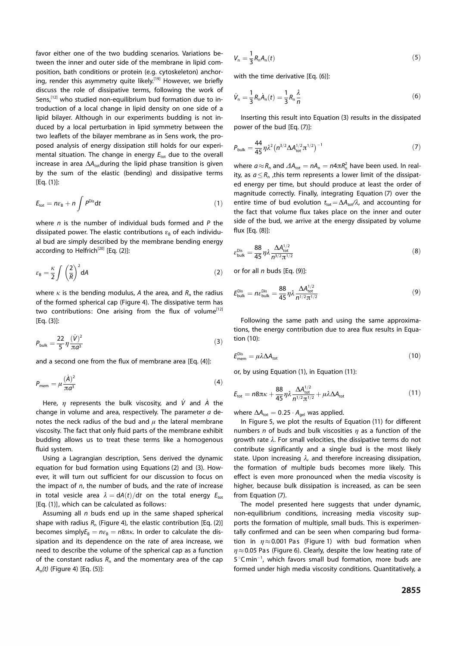favor either one of the two budding scenarios. Variations between the inner and outer side of the membrane in lipid composition, bath conditions or protein (e.g. cytoskeleton) anchoring, render this asymmetry quite likely.<sup>[19]</sup> However, we briefly discuss the role of dissipative terms, following the work of Sens,<sup>[12]</sup> who studied non-equilibrium bud formation due to introduction of a local change in lipid density on one side of a lipid bilayer. Although in our experiments budding is not induced by a local perturbation in lipid symmetry between the two leaflets of the bilayer membrane as in Sens work, the proposed analysis of energy dissipation still holds for our experimental situation. The change in energy  $E_{\text{tot}}$  due to the overall increase in area  $\Delta A_{\text{tot}}$ during the lipid phase transition is given by the sum of the elastic (bending) and dissipative terms [Eq. (1)]:

$$
E_{\rm tot} = n\varepsilon_{\rm B} + n \int P^{\rm Dis} \mathrm{d}t \tag{1}
$$

where  $n$  is the number of individual buds formed and  $P$  the dissipated power. The elastic contributions  $\varepsilon_{\rm B}$  of each individual bud are simply described by the membrane bending energy according to Helfrich<sup>[20]</sup> [Eq. (2)]:

$$
\varepsilon_{\mathsf{B}} = \frac{\kappa}{2} \int \left(\frac{2}{R}\right)^2 \mathsf{d}A \tag{2}
$$

where  $\kappa$  is the bending modulus, A the area, and  $R_{\rm n}$  the radius of the formed spherical cap (Figure 4). The dissipative term has two contributions: One arising from the flux of volume<sup>[12]</sup> [Eq. (3)]:

$$
P_{\text{bulk}} = \frac{22}{5} \eta \frac{(\dot{V})^2}{\pi a^3} \tag{3}
$$

and a second one from the flux of membrane area [Eq. (4)]:

$$
P_{\text{mem}} = \mu \frac{(\dot{A})^2}{\pi a^3} \tag{4}
$$

Here,  $\eta$  represents the bulk viscosity, and V and A the change in volume and area, respectively. The parameter  $a$  denotes the neck radius of the bud and  $\mu$  the lateral membrane viscosity. The fact that only fluid parts of the membrane exhibit budding allows us to treat these terms like a homogenous fluid system.

Using a Lagrangian description, Sens derived the dynamic equation for bud formation using Equations (2) and (3). However, it will turn out sufficient for our discussion to focus on the impact of  $n$ , the number of buds, and the rate of increase in total vesicle area  $\lambda = dA(t)/dt$  on the total energy  $E_{tot}$ [Eq. (1)], which can be calculated as follows:

Assuming all  $n$  buds end up in the same shaped spherical shape with radius  $R_n$  (Figure 4), the elastic contribution [Eq. (2)] becomes simply $E_B = n\varepsilon_B = n8\pi\kappa$ . In order to calculate the dissipation and its dependence on the rate of area increase, we need to describe the volume of the spherical cap as a function of the constant radius  $R_n$  and the momentary area of the cap  $A_{\sf n}(t)$  (Figure 4) [Eq. (5)]:

$$
V_n = \frac{1}{3} R_n A_n(t) \tag{5}
$$

with the time derivative [Eq. (6)]:

$$
\dot{V}_n = \frac{1}{3} R_n \dot{A}_n(t) = \frac{1}{3} R_n \frac{\lambda}{n}
$$
 (6)

Inserting this result into Equation (3) results in the dissipated power of the bud [Eq. (7)]:

$$
P_{\text{bulk}} = \frac{44}{45} \eta \lambda^2 \left( n^{3/2} \Delta A_{\text{tot}}^{1/2} \pi^{1/2} \right)^{-1} \tag{7}
$$

where  $a \approx R_n$  and  $\Delta A_{\text{tot}} = nA_n = n4\pi R_n^2$  have been used. In reality, as  $a \le R_n$ , this term represents a lower limit of the dissipated energy per time, but should produce at least the order of magnitude correctly. Finally, integrating Equation (7) over the entire time of bud evolution  $t_{\text{tot}} = \Delta A_{\text{tot}} / \lambda$ , and accounting for the fact that volume flux takes place on the inner and outer side of the bud, we arrive at the energy dissipated by volume flux [Eq. (8)]:

$$
\varepsilon_{\text{bulk}}^{\text{Dis}} = \frac{88}{45} \eta \lambda \frac{\Delta A_{\text{tot}}^{1/2}}{n^{3/2} \pi^{1/2}}
$$
\n(8)

or for all  $n$  buds [Eq. (9)]:

$$
E_{\text{bulk}}^{\text{Dis}} = n\varepsilon_{\text{bulk}}^{\text{Dis}} = \frac{88}{45} \eta \lambda \frac{\Delta A_{\text{tot}}^{1/2}}{n^{1/2} \pi^{1/2}} \tag{9}
$$

Following the same path and using the same approximations, the energy contribution due to area flux results in Equation (10):

$$
E_{\text{mem}}^{\text{Dis}} = \mu \lambda \Delta A_{\text{tot}} \tag{10}
$$

or, by using Equation (1), in Equation (11):

$$
E_{\rm tot} = n8\pi\kappa + \frac{88}{45}\eta\lambda \frac{\Delta A_{\rm tot}^{1/2}}{n^{1/2}\pi^{1/2}} + \mu\lambda\Delta A_{\rm tot}
$$
(11)

where  $\Delta A_{\text{tot}} = 0.25 \cdot A_{\text{gel}}$  was applied.

In Figure 5, we plot the results of Equation (11) for different numbers n of buds and bulk viscosities  $\eta$  as a function of the growth rate  $\lambda$ . For small velocities, the dissipative terms do not contribute significantly and a single bud is the most likely state. Upon increasing  $\lambda$ , and therefore increasing dissipation, the formation of multiple buds becomes more likely. This effect is even more pronounced when the media viscosity is higher, because bulk dissipation is increased, as can be seen from Equation (7).

The model presented here suggests that under dynamic, non-equilibrium conditions, increasing media viscosity supports the formation of multiple, small buds. This is experimentally confirmed and can be seen when comparing bud formation in  $\eta \approx 0.001$  Pas (Figure 1) with bud formation when  $\eta\!\approx\!0.05$  Pas (Figure 6). Clearly, despite the low heating rate of 5°Cmin<sup>-1</sup>, which favors small bud formation, more buds are formed under high media viscosity conditions. Quantitatively, a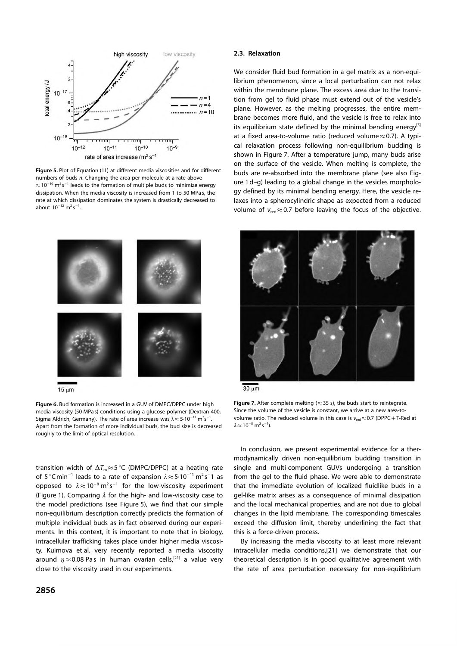

Figure 5. Plot of Equation (11) at different media viscosities and for different numbers of buds n. Changing the area per molecule at a rate above  $\approx$  10<sup>-10</sup> m<sup>2</sup>s<sup>-1</sup> leads to the formation of multiple buds to minimize energy dissipation. When the media viscosity is increased from 1 to 50 MPa s, the rate at which dissipation dominates the system is drastically decreased to about  $10^{-12}$  m<sup>2</sup>s<sup>-1</sup>.



 $15 \text{ µm}$ 

Figure 6. Bud formation is increased in a GUV of DMPC/DPPC under high media-viscosity (50 MPa s) conditions using a glucose polymer (Dextran 400, Sigma Aldrich, Germany). The rate of area increase was  $\lambda \approx 5.10^{-11}$  m<sup>2</sup>s<sup>-1</sup>. Apart from the formation of more individual buds, the bud size is decreased roughly to the limit of optical resolution.

transition width of  $\Delta T_{\mathrm{m}}\!\approx\!5\,^{\circ}\mathsf{C}$  (DMPC/DPPC) at a heating rate of 5 $^{\circ}$ Cmin<sup>-1</sup> leads to a rate of expansion  $\lambda \approx$  5 $\cdot$ 10<sup>-11</sup> m<sup>2</sup>s<sup>-</sup>1 as opposed to  $\lambda \approx 10^{-8} \text{ m}^2 \text{s}^{-1}$  for the low-viscosity experiment (Figure 1). Comparing  $\lambda$  for the high- and low-viscosity case to the model predictions (see Figure 5), we find that our simple non-equilibrium description correctly predicts the formation of multiple individual buds as in fact observed during our experiments. In this context, it is important to note that in biology, intracellular trafficking takes place under higher media viscosity. Kuimova et al. very recently reported a media viscosity around  $\eta \approx$  0.08 Pas in human ovarian cells,<sup>[21]</sup> a value very close to the viscosity used in our experiments.

## 2856

## 2.3. Relaxation

We consider fluid bud formation in a gel matrix as a non-equilibrium phenomenon, since a local perturbation can not relax within the membrane plane. The excess area due to the transition from gel to fluid phase must extend out of the vesicle's plane. However, as the melting progresses, the entire membrane becomes more fluid, and the vesicle is free to relax into its equilibrium state defined by the minimal bending energy<sup>[5]</sup> at a fixed area-to-volume ratio (reduced volume $\approx$  0.7). A typical relaxation process following non-equilibrium budding is shown in Figure 7. After a temperature jump, many buds arise on the surface of the vesicle. When melting is complete, the buds are re-absorbed into the membrane plane (see also Figure 1d–g) leading to a global change in the vesicles morphology defined by its minimal bending energy. Here, the vesicle relaxes into a spherocylindric shape as expected from a reduced volume of  $v_{\text{red}} \approx 0.7$  before leaving the focus of the objective.



 $30 \mu m$ 

Figure 7. After complete melting ( $\approx$  35 s), the buds start to reintegrate. Since the volume of the vesicle is constant, we arrive at a new area-tovolume ratio. The reduced volume in this case is  $v_{\text{red}} \approx 0.7$  (DPPC + T-Red at  $\lambda \approx 10^{-8}$  m<sup>2</sup>s<sup>-1</sup>).

In conclusion, we present experimental evidence for a thermodynamically driven non-equilibrium budding transition in single and multi-component GUVs undergoing a transition from the gel to the fluid phase. We were able to demonstrate that the immediate evolution of localized fluidlike buds in a gel-like matrix arises as a consequence of minimal dissipation and the local mechanical properties, and are not due to global changes in the lipid membrane. The corresponding timescales exceed the diffusion limit, thereby underlining the fact that this is a force-driven process.

By increasing the media viscosity to at least more relevant intracellular media conditions,[21] we demonstrate that our theoretical description is in good qualitative agreement with the rate of area perturbation necessary for non-equilibrium